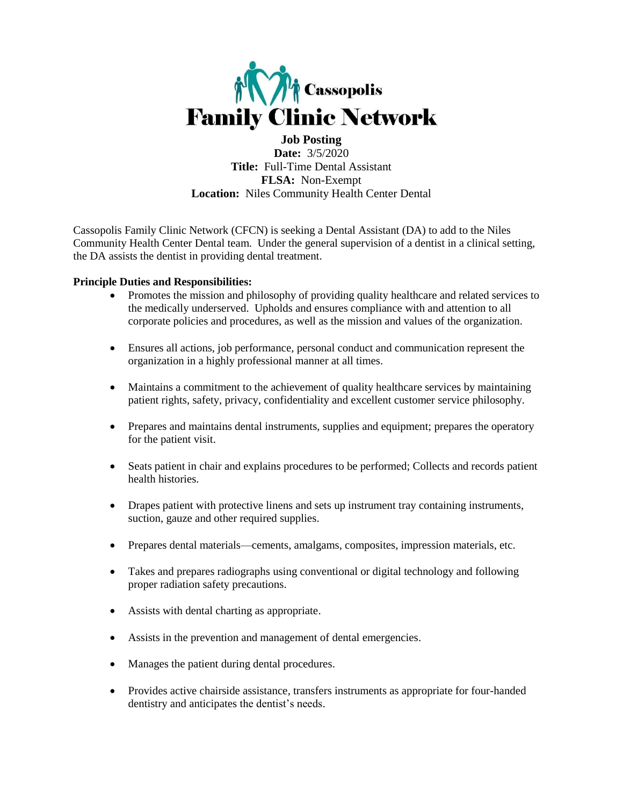

**Job Posting Date:** 3/5/2020 **Title:** Full-Time Dental Assistant **FLSA:** Non-Exempt **Location:** Niles Community Health Center Dental

Cassopolis Family Clinic Network (CFCN) is seeking a Dental Assistant (DA) to add to the Niles Community Health Center Dental team. Under the general supervision of a dentist in a clinical setting, the DA assists the dentist in providing dental treatment.

### **Principle Duties and Responsibilities:**

- Promotes the mission and philosophy of providing quality healthcare and related services to the medically underserved. Upholds and ensures compliance with and attention to all corporate policies and procedures, as well as the mission and values of the organization.
- Ensures all actions, job performance, personal conduct and communication represent the organization in a highly professional manner at all times.
- Maintains a commitment to the achievement of quality healthcare services by maintaining patient rights, safety, privacy, confidentiality and excellent customer service philosophy.
- Prepares and maintains dental instruments, supplies and equipment; prepares the operatory for the patient visit.
- Seats patient in chair and explains procedures to be performed; Collects and records patient health histories.
- Drapes patient with protective linens and sets up instrument tray containing instruments, suction, gauze and other required supplies.
- Prepares dental materials—cements, amalgams, composites, impression materials, etc.
- Takes and prepares radiographs using conventional or digital technology and following proper radiation safety precautions.
- Assists with dental charting as appropriate.
- Assists in the prevention and management of dental emergencies.
- Manages the patient during dental procedures.
- Provides active chairside assistance, transfers instruments as appropriate for four-handed dentistry and anticipates the dentist's needs.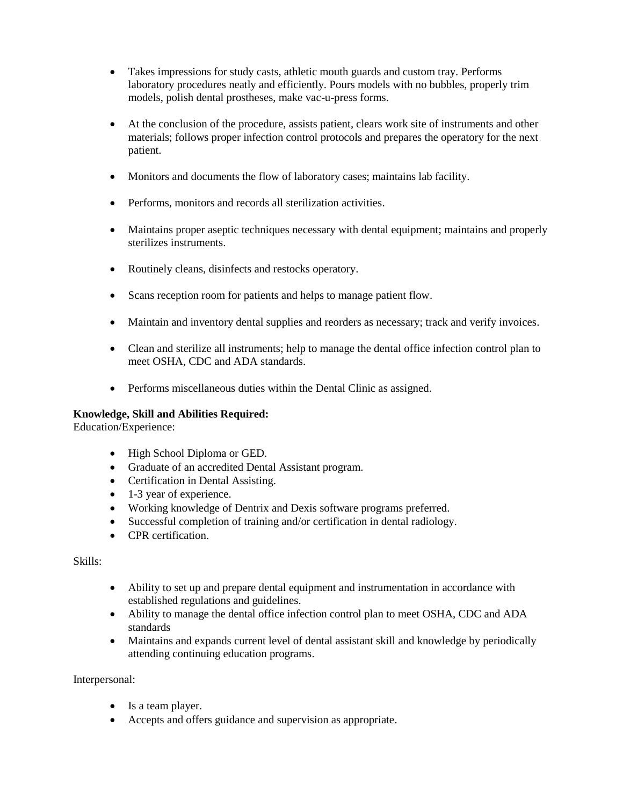- Takes impressions for study casts, athletic mouth guards and custom tray. Performs laboratory procedures neatly and efficiently. Pours models with no bubbles, properly trim models, polish dental prostheses, make vac-u-press forms.
- At the conclusion of the procedure, assists patient, clears work site of instruments and other materials; follows proper infection control protocols and prepares the operatory for the next patient.
- Monitors and documents the flow of laboratory cases; maintains lab facility.
- Performs, monitors and records all sterilization activities.
- Maintains proper aseptic techniques necessary with dental equipment; maintains and properly sterilizes instruments.
- Routinely cleans, disinfects and restocks operatory.
- Scans reception room for patients and helps to manage patient flow.
- Maintain and inventory dental supplies and reorders as necessary; track and verify invoices.
- Clean and sterilize all instruments; help to manage the dental office infection control plan to meet OSHA, CDC and ADA standards.
- Performs miscellaneous duties within the Dental Clinic as assigned.

# **Knowledge, Skill and Abilities Required:**

Education/Experience:

- High School Diploma or GED.
- Graduate of an accredited Dental Assistant program.
- Certification in Dental Assisting.
- 1-3 year of experience.
- Working knowledge of Dentrix and Dexis software programs preferred.
- Successful completion of training and/or certification in dental radiology.
- CPR certification

Skills:

- Ability to set up and prepare dental equipment and instrumentation in accordance with established regulations and guidelines.
- Ability to manage the dental office infection control plan to meet OSHA, CDC and ADA standards
- Maintains and expands current level of dental assistant skill and knowledge by periodically attending continuing education programs.

Interpersonal:

- Is a team player.
- Accepts and offers guidance and supervision as appropriate.